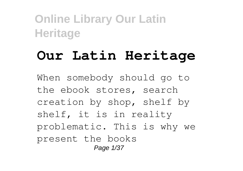# **Our Latin Heritage**

When somebody should go to the ebook stores, search creation by shop, shelf by shelf, it is in reality problematic. This is why we present the books Page 1/37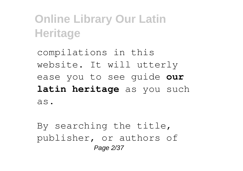compilations in this website. It will utterly ease you to see guide **our latin heritage** as you such as.

By searching the title, publisher, or authors of Page 2/37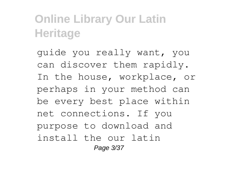guide you really want, you can discover them rapidly. In the house, workplace, or perhaps in your method can be every best place within net connections. If you purpose to download and install the our latin Page 3/37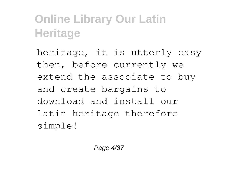heritage, it is utterly easy then, before currently we extend the associate to buy and create bargains to download and install our latin heritage therefore simple!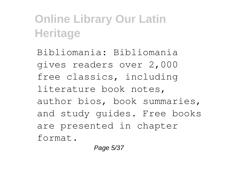Bibliomania: Bibliomania gives readers over 2,000 free classics, including literature book notes, author bios, book summaries, and study guides. Free books are presented in chapter format.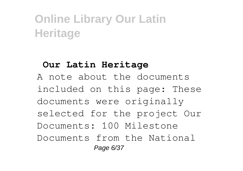#### **Our Latin Heritage**

A note about the documents included on this page: These documents were originally selected for the project Our Documents: 100 Milestone Documents from the National Page 6/37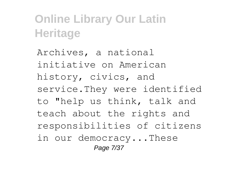Archives, a national initiative on American history, civics, and service.They were identified to "help us think, talk and teach about the rights and responsibilities of citizens in our democracy...These Page 7/37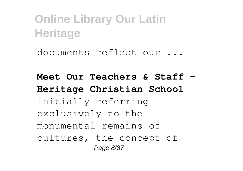documents reflect our ...

**Meet Our Teachers & Staff - Heritage Christian School** Initially referring exclusively to the monumental remains of cultures, the concept of Page 8/37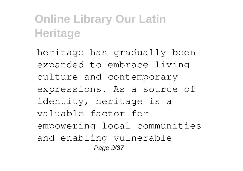heritage has gradually been expanded to embrace living culture and contemporary expressions. As a source of identity, heritage is a valuable factor for empowering local communities and enabling vulnerable Page 9/37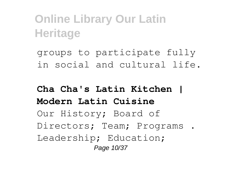groups to participate fully in social and cultural life.

#### **Cha Cha's Latin Kitchen | Modern Latin Cuisine** Our History; Board of Directors; Team; Programs . Leadership; Education; Page 10/37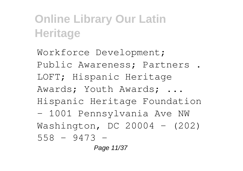Workforce Development; Public Awareness; Partners . LOFT; Hispanic Heritage Awards; Youth Awards; ... Hispanic Heritage Foundation - 1001 Pennsylvania Ave NW Washington, DC 20004 - (202) 558 – 9473 -

Page 11/37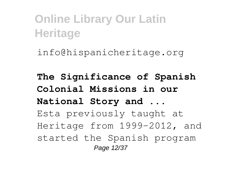info@hispanicheritage.org

**The Significance of Spanish Colonial Missions in our National Story and ...** Esta previously taught at Heritage from 1999-2012, and started the Spanish program Page 12/37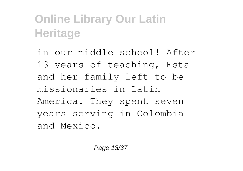in our middle school! After 13 years of teaching, Esta and her family left to be missionaries in Latin America. They spent seven years serving in Colombia and Mexico.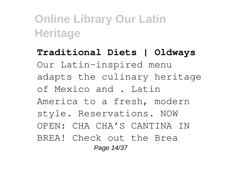**Traditional Diets | Oldways** Our Latin-inspired menu adapts the culinary heritage of Mexico and . Latin America to a fresh, modern style. Reservations. NOW OPEN: CHA CHA'S CANTINA IN BREA! Check out the Brea Page 14/37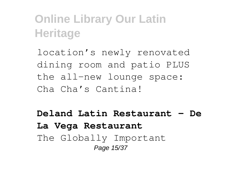location's newly renovated dining room and patio PLUS the all-new lounge space: Cha Cha's Cantina!

#### **Deland Latin Restaurant - De La Vega Restaurant** The Globally Important Page 15/37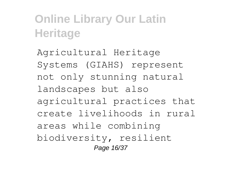Agricultural Heritage Systems (GIAHS) represent not only stunning natural landscapes but also agricultural practices that create livelihoods in rural areas while combining biodiversity, resilient Page 16/37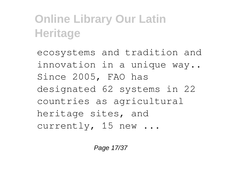ecosystems and tradition and innovation in a unique way.. Since 2005, FAO has designated 62 systems in 22 countries as agricultural heritage sites, and currently, 15 new ...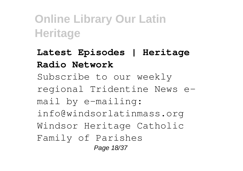**Latest Episodes | Heritage Radio Network** Subscribe to our weekly regional Tridentine News email by e-mailing: info@windsorlatinmass.org Windsor Heritage Catholic Family of Parishes Page 18/37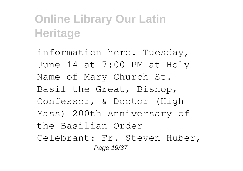information here. Tuesday, June 14 at 7:00 PM at Holy Name of Mary Church St. Basil the Great, Bishop, Confessor, & Doctor (High Mass) 200th Anniversary of the Basilian Order Celebrant: Fr. Steven Huber, Page 19/37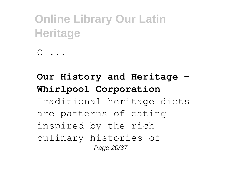```
C \ldots
```
#### **Our History and Heritage - Whirlpool Corporation** Traditional heritage diets are patterns of eating inspired by the rich culinary histories of Page 20/37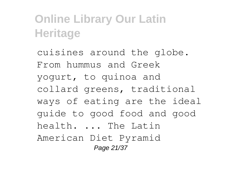cuisines around the globe. From hummus and Greek yogurt, to quinoa and collard greens, traditional ways of eating are the ideal guide to good food and good health. ... The Latin American Diet Pyramid Page 21/37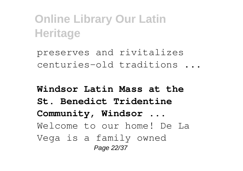preserves and rivitalizes centuries-old traditions ...

**Windsor Latin Mass at the St. Benedict Tridentine Community, Windsor ...** Welcome to our home! De La Vega is a family owned Page 22/37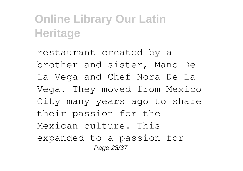restaurant created by a brother and sister, Mano De La Vega and Chef Nora De La Vega. They moved from Mexico City many years ago to share their passion for the Mexican culture. This expanded to a passion for Page 23/37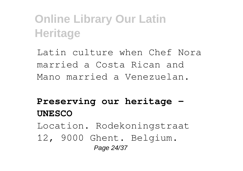Latin culture when Chef Nora married a Costa Rican and Mano married a Venezuelan.

#### **Preserving our heritage - UNESCO**

Location. Rodekoningstraat

12, 9000 Ghent. Belgium. Page 24/37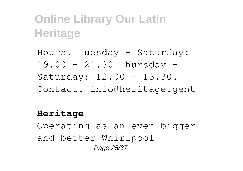Hours. Tuesday - Saturday: 19.00 - 21.30 Thursday - Saturday: 12.00 - 13.30. Contact. info@heritage.gent

#### **Heritage**

Operating as an even bigger and better Whirlpool Page 25/37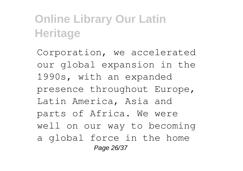Corporation, we accelerated our global expansion in the 1990s, with an expanded presence throughout Europe, Latin America, Asia and parts of Africa. We were well on our way to becoming a global force in the home Page 26/37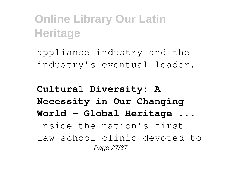appliance industry and the industry's eventual leader.

**Cultural Diversity: A Necessity in Our Changing World – Global Heritage ...** Inside the nation's first law school clinic devoted to Page 27/37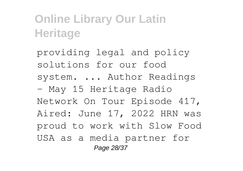providing legal and policy solutions for our food system. ... Author Readings - May 15 Heritage Radio Network On Tour Episode 417, Aired: June 17, 2022 HRN was proud to work with Slow Food USA as a media partner for Page 28/37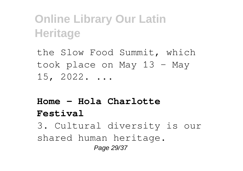the Slow Food Summit, which took place on May 13 - May 15, 2022. ...

#### **Home - Hola Charlotte Festival**

3. Cultural diversity is our shared human heritage. Page 29/37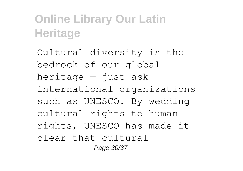Cultural diversity is the bedrock of our global heritage  $-$  just ask international organizations such as UNESCO. By wedding cultural rights to human rights, UNESCO has made it clear that cultural Page 30/37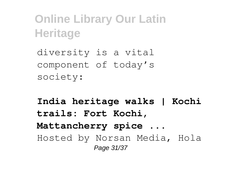diversity is a vital component of today's society:

**India heritage walks | Kochi trails: Fort Kochi, Mattancherry spice ...** Hosted by Norsan Media, Hola Page 31/37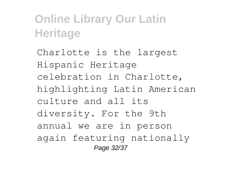Charlotte is the largest Hispanic Heritage celebration in Charlotte, highlighting Latin American culture and all its diversity. For the 9th annual we are in person again featuring nationally Page 32/37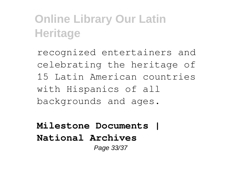recognized entertainers and celebrating the heritage of 15 Latin American countries with Hispanics of all backgrounds and ages.

**Milestone Documents | National Archives** Page 33/37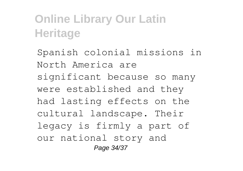Spanish colonial missions in North America are significant because so many were established and they had lasting effects on the cultural landscape. Their legacy is firmly a part of our national story and Page 34/37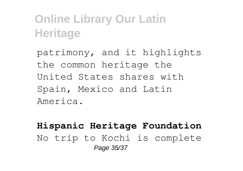patrimony, and it highlights the common heritage the United States shares with Spain, Mexico and Latin America.

#### **Hispanic Heritage Foundation** No trip to Kochi is complete Page 35/37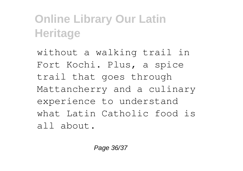without a walking trail in Fort Kochi. Plus, a spice trail that goes through Mattancherry and a culinary experience to understand what Latin Catholic food is all about.